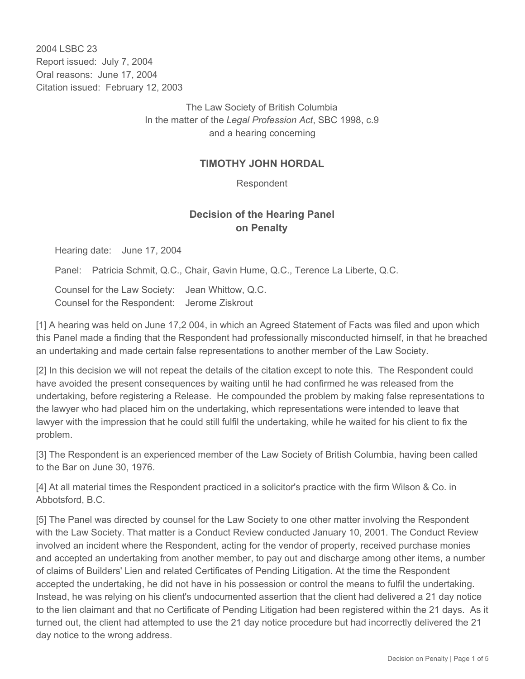2004 LSBC 23 Report issued: July 7, 2004 Oral reasons: June 17, 2004 Citation issued: February 12, 2003

> The Law Society of British Columbia In the matter of the *Legal Profession Act*, SBC 1998, c.9 and a hearing concerning

## **TIMOTHY JOHN HORDAL**

Respondent

## **Decision of the Hearing Panel on Penalty**

Hearing date: June 17, 2004

Panel: Patricia Schmit, Q.C., Chair, Gavin Hume, Q.C., Terence La Liberte, Q.C.

Counsel for the Law Society: Jean Whittow, Q.C. Counsel for the Respondent: Jerome Ziskrout

[1] A hearing was held on June 17,2 004, in which an Agreed Statement of Facts was filed and upon which this Panel made a finding that the Respondent had professionally misconducted himself, in that he breached an undertaking and made certain false representations to another member of the Law Society.

[2] In this decision we will not repeat the details of the citation except to note this. The Respondent could have avoided the present consequences by waiting until he had confirmed he was released from the undertaking, before registering a Release. He compounded the problem by making false representations to the lawyer who had placed him on the undertaking, which representations were intended to leave that lawyer with the impression that he could still fulfil the undertaking, while he waited for his client to fix the problem.

[3] The Respondent is an experienced member of the Law Society of British Columbia, having been called to the Bar on June 30, 1976.

[4] At all material times the Respondent practiced in a solicitor's practice with the firm Wilson & Co. in Abbotsford, B.C.

[5] The Panel was directed by counsel for the Law Society to one other matter involving the Respondent with the Law Society. That matter is a Conduct Review conducted January 10, 2001. The Conduct Review involved an incident where the Respondent, acting for the vendor of property, received purchase monies and accepted an undertaking from another member, to pay out and discharge among other items, a number of claims of Builders' Lien and related Certificates of Pending Litigation. At the time the Respondent accepted the undertaking, he did not have in his possession or control the means to fulfil the undertaking. Instead, he was relying on his client's undocumented assertion that the client had delivered a 21 day notice to the lien claimant and that no Certificate of Pending Litigation had been registered within the 21 days. As it turned out, the client had attempted to use the 21 day notice procedure but had incorrectly delivered the 21 day notice to the wrong address.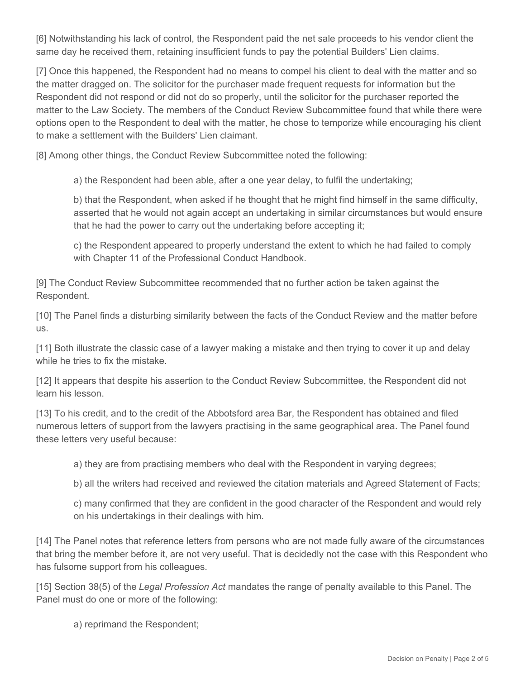[6] Notwithstanding his lack of control, the Respondent paid the net sale proceeds to his vendor client the same day he received them, retaining insufficient funds to pay the potential Builders' Lien claims.

[7] Once this happened, the Respondent had no means to compel his client to deal with the matter and so the matter dragged on. The solicitor for the purchaser made frequent requests for information but the Respondent did not respond or did not do so properly, until the solicitor for the purchaser reported the matter to the Law Society. The members of the Conduct Review Subcommittee found that while there were options open to the Respondent to deal with the matter, he chose to temporize while encouraging his client to make a settlement with the Builders' Lien claimant.

[8] Among other things, the Conduct Review Subcommittee noted the following:

a) the Respondent had been able, after a one year delay, to fulfil the undertaking;

b) that the Respondent, when asked if he thought that he might find himself in the same difficulty, asserted that he would not again accept an undertaking in similar circumstances but would ensure that he had the power to carry out the undertaking before accepting it;

c) the Respondent appeared to properly understand the extent to which he had failed to comply with Chapter 11 of the Professional Conduct Handbook.

[9] The Conduct Review Subcommittee recommended that no further action be taken against the Respondent.

[10] The Panel finds a disturbing similarity between the facts of the Conduct Review and the matter before us.

[11] Both illustrate the classic case of a lawyer making a mistake and then trying to cover it up and delay while he tries to fix the mistake.

[12] It appears that despite his assertion to the Conduct Review Subcommittee, the Respondent did not learn his lesson.

[13] To his credit, and to the credit of the Abbotsford area Bar, the Respondent has obtained and filed numerous letters of support from the lawyers practising in the same geographical area. The Panel found these letters very useful because:

a) they are from practising members who deal with the Respondent in varying degrees;

b) all the writers had received and reviewed the citation materials and Agreed Statement of Facts;

c) many confirmed that they are confident in the good character of the Respondent and would rely on his undertakings in their dealings with him.

[14] The Panel notes that reference letters from persons who are not made fully aware of the circumstances that bring the member before it, are not very useful. That is decidedly not the case with this Respondent who has fulsome support from his colleagues.

[15] Section 38(5) of the *Legal Profession Act* mandates the range of penalty available to this Panel. The Panel must do one or more of the following:

a) reprimand the Respondent;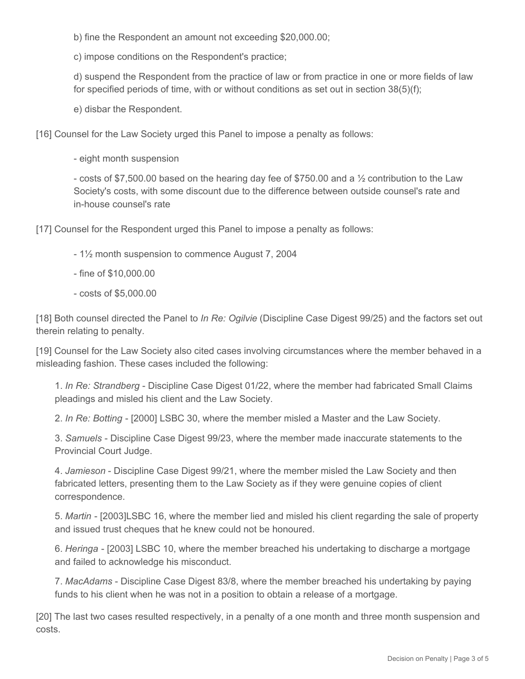b) fine the Respondent an amount not exceeding \$20,000.00;

c) impose conditions on the Respondent's practice;

d) suspend the Respondent from the practice of law or from practice in one or more fields of law for specified periods of time, with or without conditions as set out in section 38(5)(f);

e) disbar the Respondent.

[16] Counsel for the Law Society urged this Panel to impose a penalty as follows:

- eight month suspension

- costs of \$7,500.00 based on the hearing day fee of \$750.00 and a ½ contribution to the Law Society's costs, with some discount due to the difference between outside counsel's rate and in-house counsel's rate

[17] Counsel for the Respondent urged this Panel to impose a penalty as follows:

- 1½ month suspension to commence August 7, 2004
- fine of \$10,000.00
- costs of \$5,000.00

[18] Both counsel directed the Panel to *In Re: Ogilvie* (Discipline Case Digest 99/25) and the factors set out therein relating to penalty.

[19] Counsel for the Law Society also cited cases involving circumstances where the member behaved in a misleading fashion. These cases included the following:

1. *In Re: Strandberg* - Discipline Case Digest 01/22, where the member had fabricated Small Claims pleadings and misled his client and the Law Society.

2. *In Re: Botting* - [2000] LSBC 30, where the member misled a Master and the Law Society.

3. *Samuels* - Discipline Case Digest 99/23, where the member made inaccurate statements to the Provincial Court Judge.

4. *Jamieson* - Discipline Case Digest 99/21, where the member misled the Law Society and then fabricated letters, presenting them to the Law Society as if they were genuine copies of client correspondence.

5. *Martin* - [2003]LSBC 16, where the member lied and misled his client regarding the sale of property and issued trust cheques that he knew could not be honoured.

6. *Heringa* - [2003] LSBC 10, where the member breached his undertaking to discharge a mortgage and failed to acknowledge his misconduct.

7. *MacAdams* - Discipline Case Digest 83/8, where the member breached his undertaking by paying funds to his client when he was not in a position to obtain a release of a mortgage.

[20] The last two cases resulted respectively, in a penalty of a one month and three month suspension and costs.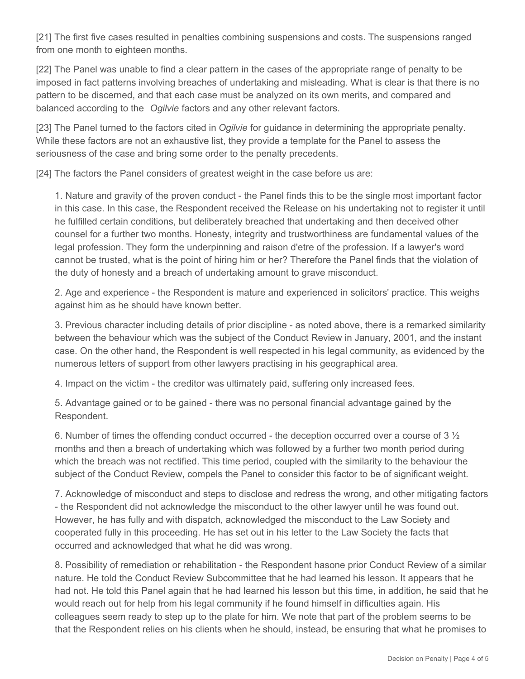[21] The first five cases resulted in penalties combining suspensions and costs. The suspensions ranged from one month to eighteen months.

[22] The Panel was unable to find a clear pattern in the cases of the appropriate range of penalty to be imposed in fact patterns involving breaches of undertaking and misleading. What is clear is that there is no pattern to be discerned, and that each case must be analyzed on its own merits, and compared and balanced according to the *Ogilvie* factors and any other relevant factors.

[23] The Panel turned to the factors cited in *Ogilvie* for guidance in determining the appropriate penalty. While these factors are not an exhaustive list, they provide a template for the Panel to assess the seriousness of the case and bring some order to the penalty precedents.

[24] The factors the Panel considers of greatest weight in the case before us are:

1. Nature and gravity of the proven conduct - the Panel finds this to be the single most important factor in this case. In this case, the Respondent received the Release on his undertaking not to register it until he fulfilled certain conditions, but deliberately breached that undertaking and then deceived other counsel for a further two months. Honesty, integrity and trustworthiness are fundamental values of the legal profession. They form the underpinning and raison d'etre of the profession. If a lawyer's word cannot be trusted, what is the point of hiring him or her? Therefore the Panel finds that the violation of the duty of honesty and a breach of undertaking amount to grave misconduct.

2. Age and experience - the Respondent is mature and experienced in solicitors' practice. This weighs against him as he should have known better.

3. Previous character including details of prior discipline - as noted above, there is a remarked similarity between the behaviour which was the subject of the Conduct Review in January, 2001, and the instant case. On the other hand, the Respondent is well respected in his legal community, as evidenced by the numerous letters of support from other lawyers practising in his geographical area.

4. Impact on the victim - the creditor was ultimately paid, suffering only increased fees.

5. Advantage gained or to be gained - there was no personal financial advantage gained by the Respondent.

6. Number of times the offending conduct occurred - the deception occurred over a course of 3 ½ months and then a breach of undertaking which was followed by a further two month period during which the breach was not rectified. This time period, coupled with the similarity to the behaviour the subject of the Conduct Review, compels the Panel to consider this factor to be of significant weight.

7. Acknowledge of misconduct and steps to disclose and redress the wrong, and other mitigating factors - the Respondent did not acknowledge the misconduct to the other lawyer until he was found out. However, he has fully and with dispatch, acknowledged the misconduct to the Law Society and cooperated fully in this proceeding. He has set out in his letter to the Law Society the facts that occurred and acknowledged that what he did was wrong.

8. Possibility of remediation or rehabilitation - the Respondent hasone prior Conduct Review of a similar nature. He told the Conduct Review Subcommittee that he had learned his lesson. It appears that he had not. He told this Panel again that he had learned his lesson but this time, in addition, he said that he would reach out for help from his legal community if he found himself in difficulties again. His colleagues seem ready to step up to the plate for him. We note that part of the problem seems to be that the Respondent relies on his clients when he should, instead, be ensuring that what he promises to